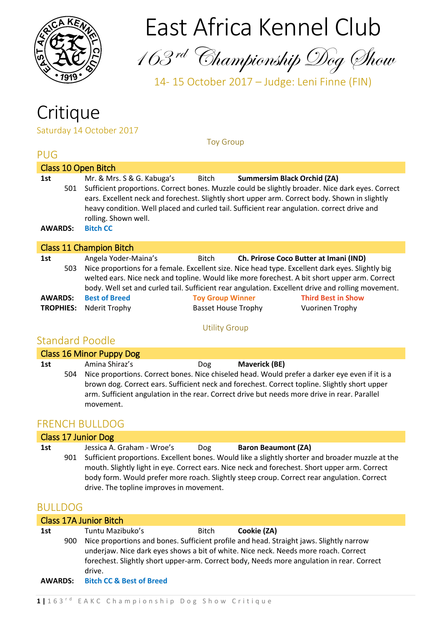

# East Africa Kennel Club

163 rd Championship Dog Show

14- 15 October 2017 – Judge: Leni Finne (FIN)

# **Critique**

Saturday 14 October 2017

| <b>PUG</b>            |                                |                                                                                                                                                                                                                                                                                                                                                                                                                          |  |  |
|-----------------------|--------------------------------|--------------------------------------------------------------------------------------------------------------------------------------------------------------------------------------------------------------------------------------------------------------------------------------------------------------------------------------------------------------------------------------------------------------------------|--|--|
|                       |                                | Class 10 Open Bitch                                                                                                                                                                                                                                                                                                                                                                                                      |  |  |
| 1st<br><b>AWARDS:</b> | 501                            | Mr. & Mrs. S & G. Kabuga's<br>Bitch<br><b>Summersim Black Orchid (ZA)</b><br>Sufficient proportions. Correct bones. Muzzle could be slightly broader. Nice dark eyes. Correct<br>ears. Excellent neck and forechest. Slightly short upper arm. Correct body. Shown in slightly<br>heavy condition. Well placed and curled tail. Sufficient rear angulation. correct drive and<br>rolling. Shown well.<br><b>Bitch CC</b> |  |  |
|                       | <b>Class 11 Champion Bitch</b> |                                                                                                                                                                                                                                                                                                                                                                                                                          |  |  |
| 1st                   | 503                            | Angela Yoder-Maina's<br>Ch. Prirose Coco Butter at Imani (IND)<br>Bitch<br>Nice proportions for a female. Excellent size. Nice head type. Excellent dark eyes. Slightly big<br>welted ears. Nice neck and topline. Would like more forechest. A bit short upper arm. Correct<br>للمتمعوم بمعسوما المسامعين باسلم للمسم الممرزا ومنابعات ومعسوم وممسلوما والتكاري المباسط المسم للمع الملفات بامموا                       |  |  |

Toy Group

|                                | body. Well set and curled tail. Sufficient rear angulation. Excellent drive and rolling movement. |                           |
|--------------------------------|---------------------------------------------------------------------------------------------------|---------------------------|
| <b>AWARDS:</b> Best of Breed   | <b>Toy Group Winner</b>                                                                           | <b>Third Best in Show</b> |
| <b>TROPHIES:</b> Nderit Trophy | Basset House Trophy                                                                               | Vuorinen Trophy           |

#### Utility Group

### Standard Poodle

| Class 16 Minor Puppy Dog |     |                |     |                                                                                                                                                                                                                                                                                                 |  |
|--------------------------|-----|----------------|-----|-------------------------------------------------------------------------------------------------------------------------------------------------------------------------------------------------------------------------------------------------------------------------------------------------|--|
| 1st                      |     | Amina Shiraz's | Dog | <b>Maverick (BE)</b>                                                                                                                                                                                                                                                                            |  |
|                          | 504 | movement.      |     | Nice proportions. Correct bones. Nice chiseled head. Would prefer a darker eye even if it is a<br>brown dog. Correct ears. Sufficient neck and forechest. Correct topline. Slightly short upper<br>arm. Sufficient angulation in the rear. Correct drive but needs more drive in rear. Parallel |  |

### FRENCH BULLDOG

| <b>Class 17 Junior Dog</b> |     |                                                                                                                                                                                                                                                                                                                                             |  |  |  |
|----------------------------|-----|---------------------------------------------------------------------------------------------------------------------------------------------------------------------------------------------------------------------------------------------------------------------------------------------------------------------------------------------|--|--|--|
| 1st                        |     | Jessica A. Graham - Wroe's<br><b>Baron Beaumont (ZA)</b><br>Dog                                                                                                                                                                                                                                                                             |  |  |  |
|                            | 901 | Sufficient proportions. Excellent bones. Would like a slightly shorter and broader muzzle at the<br>mouth. Slightly light in eye. Correct ears. Nice neck and forechest. Short upper arm. Correct<br>body form. Would prefer more roach. Slightly steep croup. Correct rear angulation. Correct<br>drive. The topline improves in movement. |  |  |  |
| <b>DUU DOC</b>             |     |                                                                                                                                                                                                                                                                                                                                             |  |  |  |

### BULLDOG

| <b>Class 17A Junior Bitch</b> |        |                                                                                           |              |                                                                                         |  |  |  |
|-------------------------------|--------|-------------------------------------------------------------------------------------------|--------------|-----------------------------------------------------------------------------------------|--|--|--|
| 1st                           |        | Tuntu Mazibuko's                                                                          | <b>Bitch</b> | Cookie (ZA)                                                                             |  |  |  |
|                               | 900    |                                                                                           |              | Nice proportions and bones. Sufficient profile and head. Straight jaws. Slightly narrow |  |  |  |
|                               |        | underjaw. Nice dark eyes shows a bit of white. Nice neck. Needs more roach. Correct       |              |                                                                                         |  |  |  |
|                               |        | forechest. Slightly short upper-arm. Correct body, Needs more angulation in rear. Correct |              |                                                                                         |  |  |  |
|                               | drive. |                                                                                           |              |                                                                                         |  |  |  |
| <b>AWARDS:</b>                |        | <b>Bitch CC &amp; Best of Breed</b>                                                       |              |                                                                                         |  |  |  |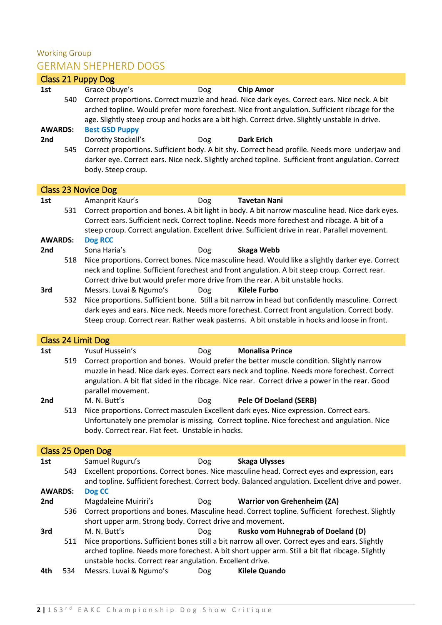### Working Group GERMAN SHEPHERD DOGS

|                 |     | <b>Class 21 Puppy Dog</b>                                                                                                                                                                                                                                                                         |
|-----------------|-----|---------------------------------------------------------------------------------------------------------------------------------------------------------------------------------------------------------------------------------------------------------------------------------------------------|
| 1st             |     | Grace Obuye's<br><b>Chip Amor</b><br><b>Dog</b>                                                                                                                                                                                                                                                   |
|                 | 540 | Correct proportions. Correct muzzle and head. Nice dark eyes. Correct ears. Nice neck. A bit<br>arched topline. Would prefer more forechest. Nice front angulation. Sufficient ribcage for the<br>age. Slightly steep croup and hocks are a bit high. Correct drive. Slightly unstable in drive.  |
| <b>AWARDS:</b>  |     | <b>Best GSD Puppy</b>                                                                                                                                                                                                                                                                             |
| 2nd             |     | Dorothy Stockell's<br><b>Dark Erich</b><br>Dog                                                                                                                                                                                                                                                    |
|                 | 545 | Correct proportions. Sufficient body. A bit shy. Correct head profile. Needs more underjaw and<br>darker eye. Correct ears. Nice neck. Slightly arched topline. Sufficient front angulation. Correct<br>body. Steep croup.                                                                        |
|                 |     | <b>Class 23 Novice Dog</b>                                                                                                                                                                                                                                                                        |
| 1st             |     | Amanprit Kaur's<br><b>Tavetan Nani</b><br>Dog                                                                                                                                                                                                                                                     |
|                 | 531 | Correct proportion and bones. A bit light in body. A bit narrow masculine head. Nice dark eyes.<br>Correct ears. Sufficient neck. Correct topline. Needs more forechest and ribcage. A bit of a<br>steep croup. Correct angulation. Excellent drive. Sufficient drive in rear. Parallel movement. |
| <b>AWARDS:</b>  |     | <b>Dog RCC</b>                                                                                                                                                                                                                                                                                    |
| 2 <sub>nd</sub> |     | Sona Haria's<br><b>Skaga Webb</b><br>Dog                                                                                                                                                                                                                                                          |
|                 | 518 | Nice proportions. Correct bones. Nice masculine head. Would like a slightly darker eye. Correct                                                                                                                                                                                                   |
|                 |     | neck and topline. Sufficient forechest and front angulation. A bit steep croup. Correct rear.                                                                                                                                                                                                     |
|                 |     | Correct drive but would prefer more drive from the rear. A bit unstable hocks.                                                                                                                                                                                                                    |
| 3rd             |     | Messrs. Luvai & Ngumo's<br><b>Dog</b><br><b>Kilele Furbo</b>                                                                                                                                                                                                                                      |
|                 | 532 | Nice proportions. Sufficient bone. Still a bit narrow in head but confidently masculine. Correct                                                                                                                                                                                                  |
|                 |     | dark eyes and ears. Nice neck. Needs more forechest. Correct front angulation. Correct body.                                                                                                                                                                                                      |
|                 |     | Steep croup. Correct rear. Rather weak pasterns. A bit unstable in hocks and loose in front.                                                                                                                                                                                                      |
|                 |     | Class 24 Limit Dog                                                                                                                                                                                                                                                                                |
| 1st             |     | Yusuf Hussein's<br><b>Monalisa Prince</b><br>Dog                                                                                                                                                                                                                                                  |
|                 | 519 | Correct proportion and bones. Would prefer the better muscle condition. Slightly narrow                                                                                                                                                                                                           |
|                 |     | muzzle in head. Nice dark eyes. Correct ears neck and topline. Needs more forechest. Correct                                                                                                                                                                                                      |
|                 |     | angulation. A bit flat sided in the ribcage. Nice rear. Correct drive a power in the rear. Good                                                                                                                                                                                                   |
|                 |     | parallel movement.                                                                                                                                                                                                                                                                                |
| 2nd             |     | <b>Pele Of Doeland (SERB)</b><br>M. N. Butt's<br>Dog                                                                                                                                                                                                                                              |
|                 | 513 | Nice proportions. Correct masculen Excellent dark eyes. Nice expression. Correct ears.                                                                                                                                                                                                            |
|                 |     | Unfortunately one premolar is missing. Correct topline. Nice forechest and angulation. Nice                                                                                                                                                                                                       |
|                 |     | body. Correct rear. Flat feet. Unstable in hocks.                                                                                                                                                                                                                                                 |
|                 |     | Class 25 Open Dog                                                                                                                                                                                                                                                                                 |
| 1st             |     | Samuel Ruguru's<br><b>Skaga Ulysses</b><br>Dog                                                                                                                                                                                                                                                    |
|                 | 543 | Excellent proportions. Correct bones. Nice masculine head. Correct eyes and expression, ears                                                                                                                                                                                                      |
|                 |     | and topline. Sufficient forechest. Correct body. Balanced angulation. Excellent drive and power.                                                                                                                                                                                                  |
| <b>AWARDS:</b>  |     | Dog CC                                                                                                                                                                                                                                                                                            |
| 2nd             |     | Magdaleine Muiriri's<br><b>Warrior von Grehenheim (ZA)</b><br><b>Dog</b>                                                                                                                                                                                                                          |
|                 | 536 | Correct proportions and bones. Masculine head. Correct topline. Sufficient forechest. Slightly                                                                                                                                                                                                    |
|                 |     | short upper arm. Strong body. Correct drive and movement.                                                                                                                                                                                                                                         |
| 3rd             |     | M. N. Butt's<br><b>Rusko vom Huhnegrab of Doeland (D)</b><br>Dog                                                                                                                                                                                                                                  |
|                 | 511 | Nice proportions. Sufficient bones still a bit narrow all over. Correct eyes and ears. Slightly                                                                                                                                                                                                   |
|                 |     | arched topline. Needs more forechest. A bit short upper arm. Still a bit flat ribcage. Slightly                                                                                                                                                                                                   |
|                 |     | unstable hocks. Correct rear angulation. Excellent drive.                                                                                                                                                                                                                                         |
| 4th             | 534 | Messrs. Luvai & Ngumo's<br>Dog<br><b>Kilele Quando</b>                                                                                                                                                                                                                                            |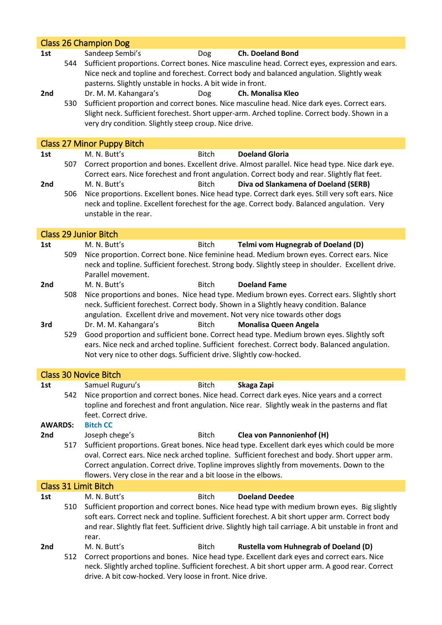|                |     | <b>Class 26 Champion Dog</b>                                                                                                                                                                                                                                                                                                                                                 |
|----------------|-----|------------------------------------------------------------------------------------------------------------------------------------------------------------------------------------------------------------------------------------------------------------------------------------------------------------------------------------------------------------------------------|
| 1st<br>2nd     | 544 | Sandeep Sembi's<br><b>Ch. Doeland Bond</b><br><b>Dog</b><br>Sufficient proportions. Correct bones. Nice masculine head. Correct eyes, expression and ears.<br>Nice neck and topline and forechest. Correct body and balanced angulation. Slightly weak<br>pasterns. Slightly unstable in hocks. A bit wide in front.<br>Dr. M. M. Kahangara's<br>Ch. Monalisa Kleo           |
|                | 530 | Dog<br>Sufficient proportion and correct bones. Nice masculine head. Nice dark eyes. Correct ears.<br>Slight neck. Sufficient forechest. Short upper-arm. Arched topline. Correct body. Shown in a<br>very dry condition. Slightly steep croup. Nice drive.                                                                                                                  |
|                |     | <b>Class 27 Minor Puppy Bitch</b>                                                                                                                                                                                                                                                                                                                                            |
| 1st            |     | M. N. Butt's<br><b>Doeland Gloria</b><br><b>Bitch</b>                                                                                                                                                                                                                                                                                                                        |
| 2nd            | 507 | Correct proportion and bones. Excellent drive. Almost parallel. Nice head type. Nice dark eye.<br>Correct ears. Nice forechest and front angulation. Correct body and rear. Slightly flat feet.<br>M. N. Butt's<br>Diva od Slankamena of Doeland (SERB)<br><b>Bitch</b>                                                                                                      |
|                | 506 | Nice proportions. Excellent bones. Nice head type. Correct dark eyes. Still very soft ears. Nice<br>neck and topline. Excellent forechest for the age. Correct body. Balanced angulation. Very<br>unstable in the rear.                                                                                                                                                      |
|                |     | <b>Class 29 Junior Bitch</b>                                                                                                                                                                                                                                                                                                                                                 |
| 1st            |     | M. N. Butt's<br>Telmi vom Hugnegrab of Doeland (D)<br><b>Bitch</b>                                                                                                                                                                                                                                                                                                           |
|                | 509 | Nice proportion. Correct bone. Nice feminine head. Medium brown eyes. Correct ears. Nice<br>neck and topline. Sufficient forechest. Strong body. Slightly steep in shoulder. Excellent drive.<br>Parallel movement.                                                                                                                                                          |
| 2nd            |     | M. N. Butt's<br><b>Bitch</b><br><b>Doeland Fame</b>                                                                                                                                                                                                                                                                                                                          |
|                | 508 | Nice proportions and bones. Nice head type. Medium brown eyes. Correct ears. Slightly short<br>neck. Sufficient forechest. Correct body. Shown in a Slightly heavy condition. Balance<br>angulation. Excellent drive and movement. Not very nice towards other dogs                                                                                                          |
| 3rd            |     | Dr. M. M. Kahangara's<br><b>Monalisa Queen Angela</b><br><b>Bitch</b>                                                                                                                                                                                                                                                                                                        |
|                | 529 | Good proportion and sufficient bone. Correct head type. Medium brown eyes. Slightly soft                                                                                                                                                                                                                                                                                     |
|                |     | ears. Nice neck and arched topline. Sufficient forechest. Correct body. Balanced angulation.<br>Not very nice to other dogs. Sufficient drive. Slightly cow-hocked.                                                                                                                                                                                                          |
|                |     | <b>Class 30 Novice Bitch</b>                                                                                                                                                                                                                                                                                                                                                 |
| 1st            |     | Samuel Ruguru's<br><b>Bitch</b><br>Skaga Zapi                                                                                                                                                                                                                                                                                                                                |
|                | 542 | Nice proportion and correct bones. Nice head. Correct dark eyes. Nice years and a correct<br>topline and forechest and front angulation. Nice rear. Slightly weak in the pasterns and flat<br>feet. Correct drive.                                                                                                                                                           |
| <b>AWARDS:</b> |     | <b>Bitch CC</b>                                                                                                                                                                                                                                                                                                                                                              |
| 2nd            | 517 | Joseph chege's<br><b>Bitch</b><br><b>Clea von Pannonienhof (H)</b><br>Sufficient proportions. Great bones. Nice head type. Excellent dark eyes which could be more                                                                                                                                                                                                           |
|                |     | oval. Correct ears. Nice neck arched topline. Sufficient forechest and body. Short upper arm.                                                                                                                                                                                                                                                                                |
|                |     | Correct angulation. Correct drive. Topline improves slightly from movements. Down to the<br>flowers. Very close in the rear and a bit loose in the elbows.                                                                                                                                                                                                                   |
|                |     | <b>Class 31 Limit Bitch</b>                                                                                                                                                                                                                                                                                                                                                  |
| 1st            | 510 | M. N. Butt's<br><b>Doeland Deedee</b><br><b>Bitch</b><br>Sufficient proportion and correct bones. Nice head type with medium brown eyes. Big slightly<br>soft ears. Correct neck and topline. Sufficient forechest. A bit short upper arm. Correct body<br>and rear. Slightly flat feet. Sufficient drive. Slightly high tail carriage. A bit unstable in front and<br>rear. |
| 2nd            | 512 | M. N. Butt's<br><b>Bitch</b><br><b>Rustella vom Huhnegrab of Doeland (D)</b><br>Correct proportions and bones. Nice head type. Excellent dark eyes and correct ears. Nice<br>neck. Slightly arched topline. Sufficient forechest. A bit short upper arm. A good rear. Correct<br>drive. A bit cow-hocked. Very loose in front. Nice drive.                                   |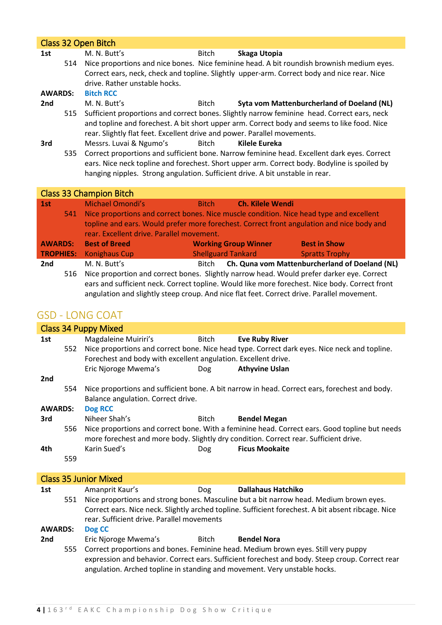|                | Class 32 Open Bitch |                                                                               |              |                                                                                              |  |  |
|----------------|---------------------|-------------------------------------------------------------------------------|--------------|----------------------------------------------------------------------------------------------|--|--|
| 1st            |                     | M. N. Butt's                                                                  | Bitch        | Skaga Utopia                                                                                 |  |  |
|                | 514                 |                                                                               |              | Nice proportions and nice bones. Nice feminine head. A bit roundish brownish medium eyes.    |  |  |
|                |                     |                                                                               |              | Correct ears, neck, check and topline. Slightly upper-arm. Correct body and nice rear. Nice  |  |  |
|                |                     | drive. Rather unstable hocks.                                                 |              |                                                                                              |  |  |
| <b>AWARDS:</b> |                     | <b>Bitch RCC</b>                                                              |              |                                                                                              |  |  |
| 2nd            |                     | M. N. Butt's                                                                  | Bitch        | Syta vom Mattenburcherland of Doeland (NL)                                                   |  |  |
|                | 515                 |                                                                               |              | Sufficient proportions and correct bones. Slightly narrow feminine head. Correct ears, neck  |  |  |
|                |                     |                                                                               |              | and topline and forechest. A bit short upper arm. Correct body and seems to like food. Nice  |  |  |
|                |                     | rear. Slightly flat feet. Excellent drive and power. Parallel movements.      |              |                                                                                              |  |  |
| 3rd            |                     | Messrs. Luvai & Ngumo's                                                       | Bitch        | Kilele Eureka                                                                                |  |  |
|                | 535                 |                                                                               |              | Correct proportions and sufficient bone. Narrow feminine head. Excellent dark eyes. Correct  |  |  |
|                |                     |                                                                               |              | ears. Nice neck topline and forechest. Short upper arm. Correct body. Bodyline is spoiled by |  |  |
|                |                     | hanging nipples. Strong angulation. Sufficient drive. A bit unstable in rear. |              |                                                                                              |  |  |
|                |                     |                                                                               |              |                                                                                              |  |  |
|                |                     | <b>Class 33 Champion Bitch</b>                                                |              |                                                                                              |  |  |
| 1st            |                     | <b>Michael Omondi's</b>                                                       | <b>Bitch</b> | <b>Ch. Kilele Wendi</b>                                                                      |  |  |
|                |                     |                                                                               |              | 541 Nice proportions and correct bones. Nice muscle condition. Nice head type and excellent  |  |  |

|                | topline and ears. Would prefer more forechest. Correct front angulation and nice body and |                                                                                           |                                                |  |  |
|----------------|-------------------------------------------------------------------------------------------|-------------------------------------------------------------------------------------------|------------------------------------------------|--|--|
|                | rear. Excellent drive. Parallel movement.                                                 |                                                                                           |                                                |  |  |
| <b>AWARDS:</b> | <b>Best of Breed</b>                                                                      | <b>Working Group Winner</b>                                                               | <b>Best in Show</b>                            |  |  |
|                | <b>TROPHIES:</b> Konighaus Cup                                                            | <b>Shellguard Tankard</b>                                                                 | <b>Spratts Trophy</b>                          |  |  |
| 2nd            | M. N. Butt's                                                                              | Bitch                                                                                     | Ch. Quna vom Mattenburcherland of Doeland (NL) |  |  |
| 516            |                                                                                           | Nice proportion and correct bones. Slightly narrow head. Would prefer darker eye. Correct |                                                |  |  |

ears and sufficient neck. Correct topline. Would like more forechest. Nice body. Correct front angulation and slightly steep croup. And nice flat feet. Correct drive. Parallel movement.

## GSD - LONG COAT

|                 | <b>Class 34 Puppy Mixed</b>                                                                     |                                                                |              |                                                                                                    |  |  |
|-----------------|-------------------------------------------------------------------------------------------------|----------------------------------------------------------------|--------------|----------------------------------------------------------------------------------------------------|--|--|
| 1st             |                                                                                                 | Magdaleine Muiriri's                                           | <b>Bitch</b> | <b>Eve Ruby River</b>                                                                              |  |  |
|                 | 552                                                                                             |                                                                |              | Nice proportions and correct bone. Nice head type. Correct dark eyes. Nice neck and topline.       |  |  |
|                 |                                                                                                 | Forechest and body with excellent angulation. Excellent drive. |              |                                                                                                    |  |  |
|                 |                                                                                                 | Eric Njoroge Mwema's                                           | Dog          | <b>Athyvine Uslan</b>                                                                              |  |  |
| 2 <sub>nd</sub> |                                                                                                 |                                                                |              |                                                                                                    |  |  |
|                 | 554                                                                                             |                                                                |              | Nice proportions and sufficient bone. A bit narrow in head. Correct ears, forechest and body.      |  |  |
|                 |                                                                                                 |                                                                |              |                                                                                                    |  |  |
|                 |                                                                                                 | Balance angulation. Correct drive.                             |              |                                                                                                    |  |  |
| <b>AWARDS:</b>  |                                                                                                 | Dog RCC                                                        |              |                                                                                                    |  |  |
| 3rd             |                                                                                                 | Niheer Shah's                                                  | <b>Bitch</b> | <b>Bendel Megan</b>                                                                                |  |  |
|                 | 556                                                                                             |                                                                |              | Nice proportions and correct bone. With a feminine head. Correct ears. Good topline but needs      |  |  |
|                 |                                                                                                 |                                                                |              | more forechest and more body. Slightly dry condition. Correct rear. Sufficient drive.              |  |  |
| 4th             |                                                                                                 | Karin Sued's                                                   | Dog          | <b>Ficus Mookaite</b>                                                                              |  |  |
|                 | 559                                                                                             |                                                                |              |                                                                                                    |  |  |
|                 |                                                                                                 |                                                                |              |                                                                                                    |  |  |
|                 |                                                                                                 | <b>Class 35 Junior Mixed</b>                                   |              |                                                                                                    |  |  |
| 1st             |                                                                                                 | Amanprit Kaur's                                                | <b>Dog</b>   | <b>Dallahaus Hatchiko</b>                                                                          |  |  |
|                 | 551                                                                                             |                                                                |              | Nice proportions and strong bones. Masculine but a bit narrow head. Medium brown eyes.             |  |  |
|                 |                                                                                                 |                                                                |              | Correct ears. Nice neck. Slightly arched topline. Sufficient forechest. A bit absent ribcage. Nice |  |  |
|                 |                                                                                                 | rear. Sufficient drive. Parallel movements                     |              |                                                                                                    |  |  |
| <b>AWARDS:</b>  |                                                                                                 |                                                                |              |                                                                                                    |  |  |
|                 |                                                                                                 | Dog CC                                                         |              |                                                                                                    |  |  |
| 2 <sub>nd</sub> |                                                                                                 | Eric Njoroge Mwema's                                           | Bitch        | <b>Bendel Nora</b>                                                                                 |  |  |
|                 | 555                                                                                             |                                                                |              | Correct proportions and bones. Feminine head. Medium brown eyes. Still very puppy                  |  |  |
|                 | expression and behavior. Correct ears. Sufficient forechest and body. Steep croup. Correct rear |                                                                |              |                                                                                                    |  |  |
|                 | angulation. Arched topline in standing and movement. Very unstable hocks.                       |                                                                |              |                                                                                                    |  |  |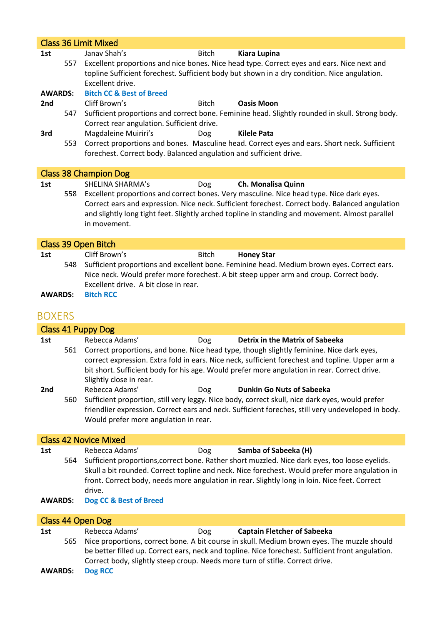| <b>Class 36 Limit Mixed</b>                                                                                                                                                                                           |  |  |  |
|-----------------------------------------------------------------------------------------------------------------------------------------------------------------------------------------------------------------------|--|--|--|
| Janav Shah's<br><b>Bitch</b><br><b>Kiara Lupina</b><br>1st                                                                                                                                                            |  |  |  |
| Excellent proportions and nice bones. Nice head type. Correct eyes and ears. Nice next and<br>557<br>topline Sufficient forechest. Sufficient body but shown in a dry condition. Nice angulation.<br>Excellent drive. |  |  |  |
| <b>Bitch CC &amp; Best of Breed</b><br><b>AWARDS:</b>                                                                                                                                                                 |  |  |  |
| 2nd<br>Cliff Brown's<br><b>Bitch</b><br><b>Oasis Moon</b>                                                                                                                                                             |  |  |  |
| Sufficient proportions and correct bone. Feminine head. Slightly rounded in skull. Strong body.<br>547<br>Correct rear angulation. Sufficient drive.                                                                  |  |  |  |
| Magdaleine Muiriri's<br><b>Kilele Pata</b><br>3rd<br>Dog                                                                                                                                                              |  |  |  |
| Correct proportions and bones. Masculine head. Correct eyes and ears. Short neck. Sufficient<br>553<br>forechest. Correct body. Balanced angulation and sufficient drive.                                             |  |  |  |
| <b>Class 38 Champion Dog</b>                                                                                                                                                                                          |  |  |  |
| <b>SHELINA SHARMA's</b><br>Ch. Monalisa Quinn<br>1st<br>Dog                                                                                                                                                           |  |  |  |
| Excellent proportions and correct bones. Very masculine. Nice head type. Nice dark eyes.<br>558                                                                                                                       |  |  |  |
| Correct ears and expression. Nice neck. Sufficient forechest. Correct body. Balanced angulation                                                                                                                       |  |  |  |
| and slightly long tight feet. Slightly arched topline in standing and movement. Almost parallel                                                                                                                       |  |  |  |
| in movement.                                                                                                                                                                                                          |  |  |  |
| <b>Class 39 Open Bitch</b>                                                                                                                                                                                            |  |  |  |
| Cliff Brown's<br><b>Honey Star</b><br><b>Bitch</b><br>1st                                                                                                                                                             |  |  |  |
| Sufficient proportions and excellent bone. Feminine head. Medium brown eyes. Correct ears.<br>548                                                                                                                     |  |  |  |
| Nice neck. Would prefer more forechest. A bit steep upper arm and croup. Correct body.                                                                                                                                |  |  |  |
| Excellent drive. A bit close in rear.                                                                                                                                                                                 |  |  |  |
| <b>Bitch RCC</b><br><b>AWARDS:</b>                                                                                                                                                                                    |  |  |  |
| <b>BOXERS</b>                                                                                                                                                                                                         |  |  |  |
| <b>Class 41 Puppy Dog</b>                                                                                                                                                                                             |  |  |  |
| Rebecca Adams'<br><b>Detrix in the Matrix of Sabeeka</b><br>1st<br>Dog                                                                                                                                                |  |  |  |
| Correct proportions, and bone. Nice head type, though slightly feminine. Nice dark eyes,<br>561                                                                                                                       |  |  |  |
| correct expression. Extra fold in ears. Nice neck, sufficient forechest and topline. Upper arm a<br>bit short. Sufficient body for his age. Would prefer more angulation in rear. Correct drive.                      |  |  |  |
| Slightly close in rear.                                                                                                                                                                                               |  |  |  |
| Rebecca Adams'<br><b>Dunkin Go Nuts of Sabeeka</b><br>2nd<br>Dog                                                                                                                                                      |  |  |  |
| Sufficient proportion, still very leggy. Nice body, correct skull, nice dark eyes, would prefer<br>560                                                                                                                |  |  |  |
| friendlier expression. Correct ears and neck. Sufficient foreches, still very undeveloped in body.                                                                                                                    |  |  |  |
|                                                                                                                                                                                                                       |  |  |  |
| Would prefer more angulation in rear.                                                                                                                                                                                 |  |  |  |
|                                                                                                                                                                                                                       |  |  |  |
| <b>Class 42 Novice Mixed</b><br>Rebecca Adams'<br>Samba of Sabeeka (H)<br>1st<br>Dog                                                                                                                                  |  |  |  |

Skull a bit rounded. Correct topline and neck. Nice forechest. Would prefer more angulation in front. Correct body, needs more angulation in rear. Slightly long in loin. Nice feet. Correct drive.

**AWARDS: Dog CC & Best of Breed**

| Class 44 Open Dog         |     |                                                                                                                                                                                                                                                                                   |     |                                    |  |
|---------------------------|-----|-----------------------------------------------------------------------------------------------------------------------------------------------------------------------------------------------------------------------------------------------------------------------------------|-----|------------------------------------|--|
| 1st                       |     | Rebecca Adams'                                                                                                                                                                                                                                                                    | Dog | <b>Captain Fletcher of Sabeeka</b> |  |
|                           | 565 | Nice proportions, correct bone. A bit course in skull. Medium brown eyes. The muzzle should<br>be better filled up. Correct ears, neck and topline. Nice forechest. Sufficient front angulation.<br>Correct body, slightly steep croup. Needs more turn of stifle. Correct drive. |     |                                    |  |
| <b>AWARDS:</b><br>Dog RCC |     |                                                                                                                                                                                                                                                                                   |     |                                    |  |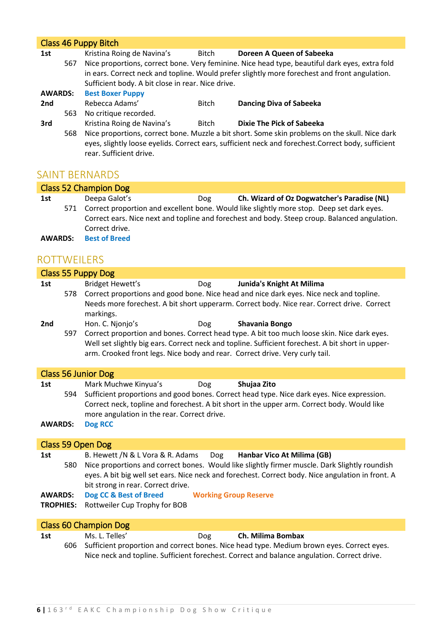|                | Class 46 Puppy Bitch |                                                   |              |                                                                                                                                                                                                       |  |  |  |
|----------------|----------------------|---------------------------------------------------|--------------|-------------------------------------------------------------------------------------------------------------------------------------------------------------------------------------------------------|--|--|--|
| 1st            |                      | Kristina Roing de Navina's                        | Bitch        | Doreen A Queen of Sabeeka                                                                                                                                                                             |  |  |  |
|                | 567                  |                                                   |              | Nice proportions, correct bone. Very feminine. Nice head type, beautiful dark eyes, extra fold                                                                                                        |  |  |  |
|                |                      |                                                   |              | in ears. Correct neck and topline. Would prefer slightly more forechest and front angulation.                                                                                                         |  |  |  |
|                |                      | Sufficient body. A bit close in rear. Nice drive. |              |                                                                                                                                                                                                       |  |  |  |
| <b>AWARDS:</b> |                      | <b>Best Boxer Puppy</b>                           |              |                                                                                                                                                                                                       |  |  |  |
| 2nd            |                      | Rebecca Adams'                                    | <b>Bitch</b> | <b>Dancing Diva of Sabeeka</b>                                                                                                                                                                        |  |  |  |
|                | 563                  | No critique recorded.                             |              |                                                                                                                                                                                                       |  |  |  |
| 3rd            |                      | Kristina Roing de Navina's                        | <b>Bitch</b> | Dixie The Pick of Sabeeka                                                                                                                                                                             |  |  |  |
|                | 568                  | rear. Sufficient drive.                           |              | Nice proportions, correct bone. Muzzle a bit short. Some skin problems on the skull. Nice dark<br>eyes, slightly loose eyelids. Correct ears, sufficient neck and forechest. Correct body, sufficient |  |  |  |

### SAINT BERNARDS

|                | Class 52 Champion Dog |                                                                                               |     |                                                                                           |  |  |  |
|----------------|-----------------------|-----------------------------------------------------------------------------------------------|-----|-------------------------------------------------------------------------------------------|--|--|--|
| 1st            |                       | Deepa Galot's                                                                                 | Dog | Ch. Wizard of Oz Dogwatcher's Paradise (NL)                                               |  |  |  |
|                | 571                   |                                                                                               |     | Correct proportion and excellent bone. Would like slightly more stop. Deep set dark eyes. |  |  |  |
|                |                       | Correct ears. Nice next and topline and forechest and body. Steep croup. Balanced angulation. |     |                                                                                           |  |  |  |
|                |                       | Correct drive.                                                                                |     |                                                                                           |  |  |  |
| <b>AWARDS:</b> |                       | <b>Best of Breed</b>                                                                          |     |                                                                                           |  |  |  |

### ROTTWEILERS

|                                    |     | <b>Class 55 Puppy Dog</b>                                                                                                                                                                                                                                                                                                            |
|------------------------------------|-----|--------------------------------------------------------------------------------------------------------------------------------------------------------------------------------------------------------------------------------------------------------------------------------------------------------------------------------------|
| 1st                                | 578 | <b>Bridget Hewett's</b><br>Junida's Knight At Milima<br><b>Dog</b><br>Correct proportions and good bone. Nice head and nice dark eyes. Nice neck and topline.<br>Needs more forechest. A bit short upperarm. Correct body. Nice rear. Correct drive. Correct<br>markings.                                                            |
| 2nd                                | 597 | Hon. C. Njonjo's<br>Shavania Bongo<br><b>Dog</b><br>Correct proportion and bones. Correct head type. A bit too much loose skin. Nice dark eyes.<br>Well set slightly big ears. Correct neck and topline. Sufficient forechest. A bit short in upper-<br>arm. Crooked front legs. Nice body and rear. Correct drive. Very curly tail. |
|                                    |     | <b>Class 56 Junior Dog</b>                                                                                                                                                                                                                                                                                                           |
| 1st<br><b>AWARDS:</b>              |     | Mark Muchwe Kinyua's<br>Shujaa Zito<br><b>Dog</b><br>594 Sufficient proportions and good bones. Correct head type. Nice dark eyes. Nice expression.<br>Correct neck, topline and forechest. A bit short in the upper arm. Correct body. Would like<br>more angulation in the rear. Correct drive.<br>Dog RCC                         |
|                                    |     |                                                                                                                                                                                                                                                                                                                                      |
|                                    |     | Class 59 Open Dog                                                                                                                                                                                                                                                                                                                    |
| 1st                                | 580 | B. Hewett /N & L Vora & R. Adams<br>Dog<br>Hanbar Vico At Milima (GB)<br>Nice proportions and correct bones. Would like slightly firmer muscle. Dark Slightly roundish<br>eyes. A bit big well set ears. Nice neck and forechest. Correct body. Nice angulation in front. A<br>bit strong in rear. Correct drive.                    |
| <b>AWARDS:</b><br><b>TROPHIES:</b> |     | Dog CC & Best of Breed<br><b>Working Group Reserve</b><br>Rottweiler Cup Trophy for BOB                                                                                                                                                                                                                                              |
|                                    |     | <b>Class 60 Champion Dog</b>                                                                                                                                                                                                                                                                                                         |
| 1st                                | 606 | Ms. L. Telles'<br>Ch. Milima Bombax<br><b>Dog</b><br>Sufficient proportion and correct bones. Nice head type. Medium brown eyes. Correct eyes.                                                                                                                                                                                       |

t proportion and correct bones. Nice head type. Medium brown eyes. Correct eyes Nice neck and topline. Sufficient forechest. Correct and balance angulation. Correct drive.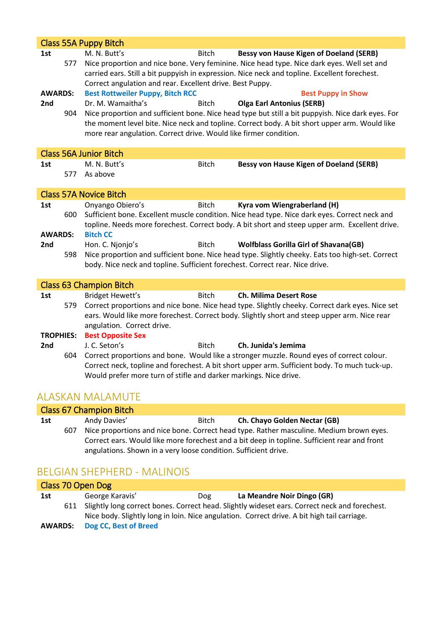|                  |     | <b>Class 55A Puppy Bitch</b>                                                                                                                                                                                                                                                                                                               |
|------------------|-----|--------------------------------------------------------------------------------------------------------------------------------------------------------------------------------------------------------------------------------------------------------------------------------------------------------------------------------------------|
| 1st              | 577 | M. N. Butt's<br><b>Bessy von Hause Kigen of Doeland (SERB)</b><br><b>Bitch</b><br>Nice proportion and nice bone. Very feminine. Nice head type. Nice dark eyes. Well set and<br>carried ears. Still a bit puppyish in expression. Nice neck and topline. Excellent forechest.<br>Correct angulation and rear. Excellent drive. Best Puppy. |
| <b>AWARDS:</b>   |     | <b>Best Rottweiler Puppy, Bitch RCC</b><br><b>Best Puppy in Show</b>                                                                                                                                                                                                                                                                       |
| 2nd              |     | Dr. M. Wamaitha's<br><b>Bitch</b><br><b>Olga Earl Antonius (SERB)</b>                                                                                                                                                                                                                                                                      |
|                  | 904 | Nice proportion and sufficient bone. Nice head type but still a bit puppyish. Nice dark eyes. For                                                                                                                                                                                                                                          |
|                  |     | the moment level bite. Nice neck and topline. Correct body. A bit short upper arm. Would like                                                                                                                                                                                                                                              |
|                  |     | more rear angulation. Correct drive. Would like firmer condition.                                                                                                                                                                                                                                                                          |
|                  |     |                                                                                                                                                                                                                                                                                                                                            |
|                  |     | <b>Class 56A Junior Bitch</b>                                                                                                                                                                                                                                                                                                              |
| 1st              |     | M. N. Butt's<br><b>Bitch</b><br><b>Bessy von Hause Kigen of Doeland (SERB)</b>                                                                                                                                                                                                                                                             |
|                  | 577 | As above                                                                                                                                                                                                                                                                                                                                   |
|                  |     |                                                                                                                                                                                                                                                                                                                                            |
|                  |     | <b>Class 57A Novice Bitch</b>                                                                                                                                                                                                                                                                                                              |
| 1st              |     | Onyango Obiero's<br><b>Bitch</b><br>Kyra vom Wiengraberland (H)                                                                                                                                                                                                                                                                            |
|                  | 600 | Sufficient bone. Excellent muscle condition. Nice head type. Nice dark eyes. Correct neck and                                                                                                                                                                                                                                              |
|                  |     | topline. Needs more forechest. Correct body. A bit short and steep upper arm. Excellent drive.                                                                                                                                                                                                                                             |
| <b>AWARDS:</b>   |     | <b>Bitch CC</b>                                                                                                                                                                                                                                                                                                                            |
| 2nd              |     | Hon. C. Njonjo's<br><b>Bitch</b><br><b>Wolfblass Gorilla Girl of Shavana(GB)</b>                                                                                                                                                                                                                                                           |
|                  | 598 | Nice proportion and sufficient bone. Nice head type. Slightly cheeky. Eats too high-set. Correct                                                                                                                                                                                                                                           |
|                  |     | body. Nice neck and topline. Sufficient forechest. Correct rear. Nice drive.                                                                                                                                                                                                                                                               |
|                  |     | <b>Class 63 Champion Bitch</b>                                                                                                                                                                                                                                                                                                             |
| 1st              |     | <b>Bridget Hewett's</b><br><b>Ch. Milima Desert Rose</b><br><b>Bitch</b>                                                                                                                                                                                                                                                                   |
|                  | 579 | Correct proportions and nice bone. Nice head type. Slightly cheeky. Correct dark eyes. Nice set                                                                                                                                                                                                                                            |
|                  |     | ears. Would like more forechest. Correct body. Slightly short and steep upper arm. Nice rear                                                                                                                                                                                                                                               |
|                  |     | angulation. Correct drive.                                                                                                                                                                                                                                                                                                                 |
| <b>TROPHIES:</b> |     | <b>Best Opposite Sex</b>                                                                                                                                                                                                                                                                                                                   |
| 2nd              |     | J. C. Seton's<br><b>Bitch</b><br>Ch. Junida's Jemima                                                                                                                                                                                                                                                                                       |
|                  | 604 | Correct proportions and bone. Would like a stronger muzzle. Round eyes of correct colour.                                                                                                                                                                                                                                                  |
|                  |     | Correct neck, topline and forechest. A bit short upper arm. Sufficient body. To much tuck-up.                                                                                                                                                                                                                                              |
|                  |     | Would prefer more turn of stifle and darker markings. Nice drive.                                                                                                                                                                                                                                                                          |
|                  |     |                                                                                                                                                                                                                                                                                                                                            |
|                  |     | ALASKAN MALAMUTE                                                                                                                                                                                                                                                                                                                           |
|                  |     | <b>Class 67 Champion Bitch</b>                                                                                                                                                                                                                                                                                                             |

|     |     | Class Of Champion Ditch                                         |              |                                                                                              |
|-----|-----|-----------------------------------------------------------------|--------------|----------------------------------------------------------------------------------------------|
| 1st |     | Andy Davies'                                                    | <b>Bitch</b> | <b>Ch. Chayo Golden Nectar (GB)</b>                                                          |
|     | 607 |                                                                 |              | Nice proportions and nice bone. Correct head type. Rather masculine. Medium brown eyes.      |
|     |     |                                                                 |              | Correct ears. Would like more forechest and a bit deep in topline. Sufficient rear and front |
|     |     | angulations. Shown in a very loose condition. Sufficient drive. |              |                                                                                              |

# BELGIAN SHEPHERD - MALINOIS

|                | Class 70 Open Dog |                                                                                                   |     |                            |  |  |  |
|----------------|-------------------|---------------------------------------------------------------------------------------------------|-----|----------------------------|--|--|--|
| 1st            |                   | George Karavis'                                                                                   | Dog | La Meandre Noir Dingo (GR) |  |  |  |
|                |                   | 611 Slightly long correct bones. Correct head. Slightly wideset ears. Correct neck and forechest. |     |                            |  |  |  |
|                |                   | Nice body. Slightly long in loin. Nice angulation. Correct drive. A bit high tail carriage.       |     |                            |  |  |  |
| <b>AWARDS:</b> |                   | Dog CC, Best of Breed                                                                             |     |                            |  |  |  |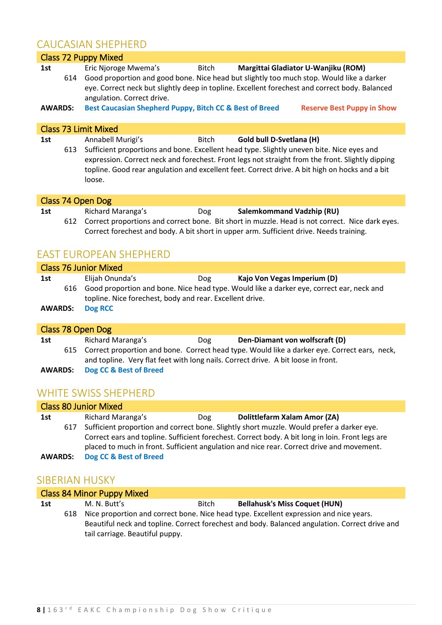### CAUCASIAN SHEPHERD

|                       |     | CAUCAJIAN JHEFHEND                                                                                                                                                                                                                                                                                                             |       |                                  |                                                                                                 |
|-----------------------|-----|--------------------------------------------------------------------------------------------------------------------------------------------------------------------------------------------------------------------------------------------------------------------------------------------------------------------------------|-------|----------------------------------|-------------------------------------------------------------------------------------------------|
|                       |     | <b>Class 72 Puppy Mixed</b>                                                                                                                                                                                                                                                                                                    |       |                                  |                                                                                                 |
| 1st<br><b>AWARDS:</b> | 614 | Eric Njoroge Mwema's<br>Good proportion and good bone. Nice head but slightly too much stop. Would like a darker<br>eye. Correct neck but slightly deep in topline. Excellent forechest and correct body. Balanced<br>angulation. Correct drive.<br>Best Caucasian Shepherd Puppy, Bitch CC & Best of Breed                    | Bitch |                                  | Margittai Gladiator U-Wanjiku (ROM)<br><b>Reserve Best Puppy in Show</b>                        |
|                       |     | <b>Class 73 Limit Mixed</b>                                                                                                                                                                                                                                                                                                    |       |                                  |                                                                                                 |
| 1st                   | 613 | Annabell Murigi's<br>Sufficient proportions and bone. Excellent head type. Slightly uneven bite. Nice eyes and<br>expression. Correct neck and forechest. Front legs not straight from the front. Slightly dipping<br>topline. Good rear angulation and excellent feet. Correct drive. A bit high on hocks and a bit<br>loose. | Bitch | Gold bull D-Svetlana (H)         |                                                                                                 |
|                       |     | Class 74 Open Dog                                                                                                                                                                                                                                                                                                              |       |                                  |                                                                                                 |
| 1st                   | 612 | Richard Maranga's<br>Correct forechest and body. A bit short in upper arm. Sufficient drive. Needs training.                                                                                                                                                                                                                   | Dog   | <b>Salemkommand Vadzhip (RU)</b> | Correct proportions and correct bone. Bit short in muzzle. Head is not correct. Nice dark eyes. |
|                       |     | <b>EAST EUROPEAN SHEPHERD</b>                                                                                                                                                                                                                                                                                                  |       |                                  |                                                                                                 |

### Class 76 Junior Mixed **1st** Elijah Onunda's Dog **Kajo Von Vegas Imperium (D)** 616 Good proportion and bone. Nice head type. Would like a darker eye, correct ear, neck and topline. Nice forechest, body and rear. Excellent drive. **AWARDS: Dog RCC**

|                | Class 78 Open Dog |                                   |     |                                                                                                                                                                                   |  |  |
|----------------|-------------------|-----------------------------------|-----|-----------------------------------------------------------------------------------------------------------------------------------------------------------------------------------|--|--|
| 1st            |                   | Richard Maranga's                 | Dog | Den-Diamant von wolfscraft (D)                                                                                                                                                    |  |  |
|                | 615               |                                   |     | Correct proportion and bone. Correct head type. Would like a darker eye. Correct ears, neck,<br>and topline. Very flat feet with long nails. Correct drive. A bit loose in front. |  |  |
| <b>AWARDS:</b> |                   | <b>Dog CC &amp; Best of Breed</b> |     |                                                                                                                                                                                   |  |  |

### WHITE SWISS SHEPHERD

|                | <b>Class 80 Junior Mixed</b> |                                                                                                                                                                                               |     |                                                                                           |  |  |  |
|----------------|------------------------------|-----------------------------------------------------------------------------------------------------------------------------------------------------------------------------------------------|-----|-------------------------------------------------------------------------------------------|--|--|--|
| 1st            |                              | Richard Maranga's                                                                                                                                                                             | Dog | Dolittlefarm Xalam Amor (ZA)                                                              |  |  |  |
|                | 617                          |                                                                                                                                                                                               |     | Sufficient proportion and correct bone. Slightly short muzzle. Would prefer a darker eye. |  |  |  |
|                |                              | Correct ears and topline. Sufficient forechest. Correct body. A bit long in loin. Front legs are<br>placed to much in front. Sufficient angulation and nice rear. Correct drive and movement. |     |                                                                                           |  |  |  |
| <b>AWARDS:</b> |                              | Dog CC & Best of Breed                                                                                                                                                                        |     |                                                                                           |  |  |  |

### SIBERIAN HUSKY

|     | <b>Class 84 Minor Puppy Mixed</b> |                                                                                                                                                                                                                             |       |                                      |  |  |  |
|-----|-----------------------------------|-----------------------------------------------------------------------------------------------------------------------------------------------------------------------------------------------------------------------------|-------|--------------------------------------|--|--|--|
| 1st |                                   | M. N. Butt's                                                                                                                                                                                                                | Bitch | <b>Bellahusk's Miss Coquet (HUN)</b> |  |  |  |
|     | 618                               | Nice proportion and correct bone. Nice head type. Excellent expression and nice years.<br>Beautiful neck and topline. Correct forechest and body. Balanced angulation. Correct drive and<br>tail carriage. Beautiful puppy. |       |                                      |  |  |  |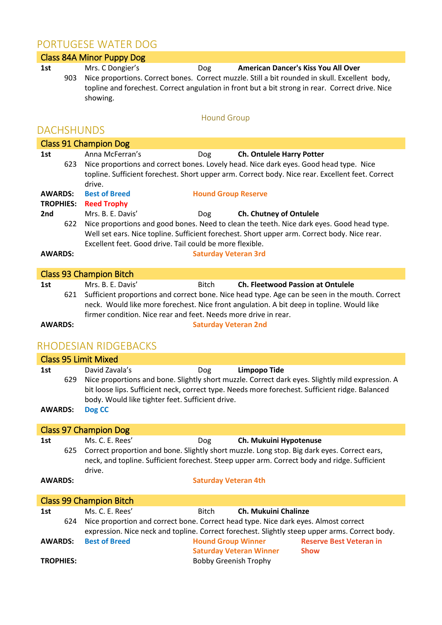## PORTUGESE WATER DOG

|                |                  | UNTUULJE VVATEN DUU                                                                                                                                                                                                                                                                                                                             |
|----------------|------------------|-------------------------------------------------------------------------------------------------------------------------------------------------------------------------------------------------------------------------------------------------------------------------------------------------------------------------------------------------|
|                |                  | <b>Class 84A Minor Puppy Dog</b>                                                                                                                                                                                                                                                                                                                |
| 1st            | 903              | Mrs. C Dongier's<br><b>American Dancer's Kiss You All Over</b><br>Dog<br>Nice proportions. Correct bones. Correct muzzle. Still a bit rounded in skull. Excellent body,<br>topline and forechest. Correct angulation in front but a bit strong in rear. Correct drive. Nice<br>showing.                                                         |
|                |                  | <b>Hound Group</b>                                                                                                                                                                                                                                                                                                                              |
|                |                  | <b>DACHSHUNDS</b>                                                                                                                                                                                                                                                                                                                               |
|                |                  | <b>Class 91 Champion Dog</b>                                                                                                                                                                                                                                                                                                                    |
| 1st            | 623              | Anna McFerran's<br>Ch. Ontulele Harry Potter<br>Dog<br>Nice proportions and correct bones. Lovely head. Nice dark eyes. Good head type. Nice<br>topline. Sufficient forechest. Short upper arm. Correct body. Nice rear. Excellent feet. Correct<br>drive.                                                                                      |
| <b>AWARDS:</b> | <b>TROPHIES:</b> | <b>Best of Breed</b><br><b>Hound Group Reserve</b><br><b>Reed Trophy</b>                                                                                                                                                                                                                                                                        |
| 2nd            |                  | Mrs. B. E. Davis'<br>Ch. Chutney of Ontulele<br>Dog                                                                                                                                                                                                                                                                                             |
|                | 622              | Nice proportions and good bones. Need to clean the teeth. Nice dark eyes. Good head type.<br>Well set ears. Nice topline. Sufficient forechest. Short upper arm. Correct body. Nice rear.<br>Excellent feet. Good drive. Tail could be more flexible.                                                                                           |
| <b>AWARDS:</b> |                  | <b>Saturday Veteran 3rd</b>                                                                                                                                                                                                                                                                                                                     |
|                |                  | <b>Class 93 Champion Bitch</b>                                                                                                                                                                                                                                                                                                                  |
| 1st            | 621              | Mrs. B. E. Davis'<br><b>Ch. Fleetwood Passion at Ontulele</b><br><b>Bitch</b><br>Sufficient proportions and correct bone. Nice head type. Age can be seen in the mouth. Correct<br>neck. Would like more forechest. Nice front angulation. A bit deep in topline. Would like<br>firmer condition. Nice rear and feet. Needs more drive in rear. |
| <b>AWARDS:</b> |                  | <b>Saturday Veteran 2nd</b>                                                                                                                                                                                                                                                                                                                     |
|                |                  | RHODESIAN RIDGEBACKS                                                                                                                                                                                                                                                                                                                            |
|                |                  | <b>Class 95 Limit Mixed</b>                                                                                                                                                                                                                                                                                                                     |
| 1st            |                  | David Zavala's<br><b>Limpopo Tide</b><br>Dog                                                                                                                                                                                                                                                                                                    |
|                |                  | 629 Nice proportions and bone. Slightly short muzzle. Correct dark eyes. Slightly mild expression. A<br>bit loose lips. Sufficient neck, correct type. Needs more forechest. Sufficient ridge. Balanced<br>body. Would like tighter feet. Sufficient drive.                                                                                     |
| <b>AWARDS:</b> |                  | Dog CC                                                                                                                                                                                                                                                                                                                                          |
|                |                  | <b>Class 97 Champion Dog</b>                                                                                                                                                                                                                                                                                                                    |
| 1st            |                  | Ms. C. E. Rees'<br>Dog<br>Ch. Mukuini Hypotenuse                                                                                                                                                                                                                                                                                                |
|                | 625              | Correct proportion and bone. Slightly short muzzle. Long stop. Big dark eyes. Correct ears,<br>neck, and topline. Sufficient forechest. Steep upper arm. Correct body and ridge. Sufficient<br>drive.                                                                                                                                           |
| <b>AWARDS:</b> |                  | <b>Saturday Veteran 4th</b>                                                                                                                                                                                                                                                                                                                     |
|                |                  | <b>Class 99 Champion Bitch</b>                                                                                                                                                                                                                                                                                                                  |
| 1st            |                  | Ms. C. E. Rees'<br>Ch. Mukuini Chalinze<br><b>Bitch</b>                                                                                                                                                                                                                                                                                         |
|                | 624              | Nice proportion and correct bone. Correct head type. Nice dark eyes. Almost correct<br>expression. Nice neck and topline. Correct forechest. Slightly steep upper arms. Correct body.                                                                                                                                                           |
| <b>AWARDS:</b> |                  | <b>Best of Breed</b><br><b>Hound Group Winner</b><br><b>Reserve Best Veteran in</b><br><b>Saturday Veteran Winner</b><br><b>Show</b>                                                                                                                                                                                                            |

TROPHIES: Bobby Greenish Trophy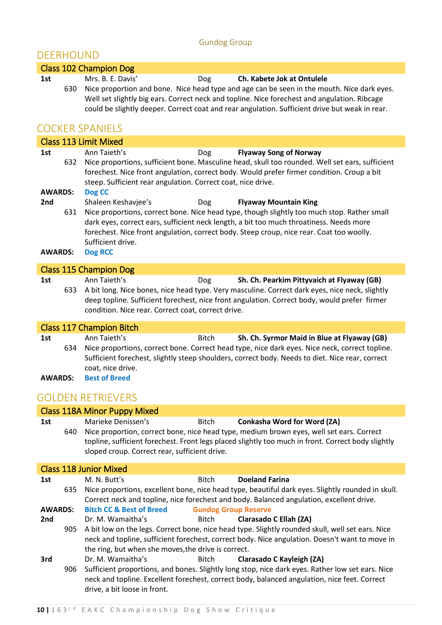### Gundog Group

### DEERHOUND

|                                   | Class 102 Champion Dog                                                                                                                                                                                                                                                                                                                                                                  |
|-----------------------------------|-----------------------------------------------------------------------------------------------------------------------------------------------------------------------------------------------------------------------------------------------------------------------------------------------------------------------------------------------------------------------------------------|
| 1st                               | Mrs. B. E. Davis'<br>Ch. Kabete Jok at Ontulele<br>Dog<br>Nice proportion and bone. Nice head type and age can be seen in the mouth. Nice dark eyes.<br>630<br>Well set slightly big ears. Correct neck and topline. Nice forechest and angulation. Ribcage<br>could be slightly deeper. Correct coat and rear angulation. Sufficient drive but weak in rear.<br><b>COCKER SPANIELS</b> |
|                                   | <b>Class 113 Limit Mixed</b>                                                                                                                                                                                                                                                                                                                                                            |
| 1st<br><b>AWARDS:</b>             | Ann Taieth's<br><b>Flyaway Song of Norway</b><br><b>Dog</b><br>Nice proportions, sufficient bone. Masculine head, skull too rounded. Well set ears, sufficient<br>632<br>forechest. Nice front angulation, correct body. Would prefer firmer condition. Croup a bit<br>steep. Sufficient rear angulation. Correct coat, nice drive.<br>Dog CC                                           |
| 2 <sub>nd</sub><br><b>AWARDS:</b> | Dog<br>Shaleen Keshavjee's<br><b>Flyaway Mountain King</b><br>Nice proportions, correct bone. Nice head type, though slightly too much stop. Rather small<br>631<br>dark eyes, correct ears, sufficient neck length, a bit too much throatiness. Needs more<br>forechest. Nice front angulation, correct body. Steep croup, nice rear. Coat too woolly.<br>Sufficient drive.<br>Dog RCC |

# Class 115 Champion Dog<br>1st Ann Taieth's

| 1st | Ann Taieth's                                       | Dog | Sh. Ch. Pearkim Pittyvaich at Flyaway (GB)                                                         |
|-----|----------------------------------------------------|-----|----------------------------------------------------------------------------------------------------|
|     |                                                    |     | 633 A bit long. Nice bones, nice head type. Very masculine. Correct dark eyes, nice neck, slightly |
|     |                                                    |     | deep topline. Sufficient forechest, nice front angulation. Correct body, would prefer firmer       |
|     | condition. Nice rear. Correct coat, correct drive. |     |                                                                                                    |

### Class 117 Champion Bitch

| 1st            |     | Ann Taieth's         | <b>Bitch</b> | Sh. Ch. Syrmor Maid in Blue at Flyaway (GB)                                                     |
|----------------|-----|----------------------|--------------|-------------------------------------------------------------------------------------------------|
|                | 634 |                      |              | Nice proportions, correct bone. Correct head type, nice dark eyes. Nice neck, correct topline.  |
|                |     |                      |              | Sufficient forechest, slightly steep shoulders, correct body. Needs to diet. Nice rear, correct |
|                |     | coat, nice drive.    |              |                                                                                                 |
| <b>AWARDS:</b> |     | <b>Best of Breed</b> |              |                                                                                                 |

### GOLDEN RETRIEVERS

|                |     | <b>Class 118A Minor Puppy Mixed</b>                                 |                             |                                                                                                                                                                                                                                      |
|----------------|-----|---------------------------------------------------------------------|-----------------------------|--------------------------------------------------------------------------------------------------------------------------------------------------------------------------------------------------------------------------------------|
| 1st            | 640 | Marieke Denissen's<br>sloped croup. Correct rear, sufficient drive. | Bitch                       | <b>Conkasha Word for Word (ZA)</b><br>Nice proportion, correct bone, nice head type, medium brown eyes, well set ears. Correct<br>topline, sufficient forechest. Front legs placed slightly too much in front. Correct body slightly |
|                |     | <b>Class 118 Junior Mixed</b>                                       |                             |                                                                                                                                                                                                                                      |
| 1st            |     | M. N. Butt's                                                        | <b>Bitch</b>                | <b>Doeland Farina</b>                                                                                                                                                                                                                |
|                | 635 |                                                                     |                             | Nice proportions, excellent bone, nice head type, beautiful dark eyes. Slightly rounded in skull.<br>Correct neck and topline, nice forechest and body. Balanced angulation, excellent drive.                                        |
| <b>AWARDS:</b> |     | <b>Bitch CC &amp; Best of Breed</b>                                 | <b>Gundog Group Reserve</b> |                                                                                                                                                                                                                                      |
| 2nd            |     | Dr. M. Wamaitha's                                                   | Bitch                       | Clarasado C Ellah (ZA)                                                                                                                                                                                                               |
|                | 905 | the ring, but when she moves, the drive is correct.                 |                             | A bit low on the legs. Correct bone, nice head type. Slightly rounded skull, well set ears. Nice<br>neck and topline, sufficient forechest, correct body. Nice angulation. Doesn't want to move in                                   |
| 3rd            |     | Dr. M. Wamaitha's                                                   | Bitch                       | Clarasado C Kayleigh (ZA)                                                                                                                                                                                                            |
|                | 906 | drive, a bit loose in front.                                        |                             | Sufficient proportions, and bones. Slightly long stop, nice dark eyes. Rather low set ears. Nice<br>neck and topline. Excellent forechest, correct body, balanced angulation, nice feet. Correct                                     |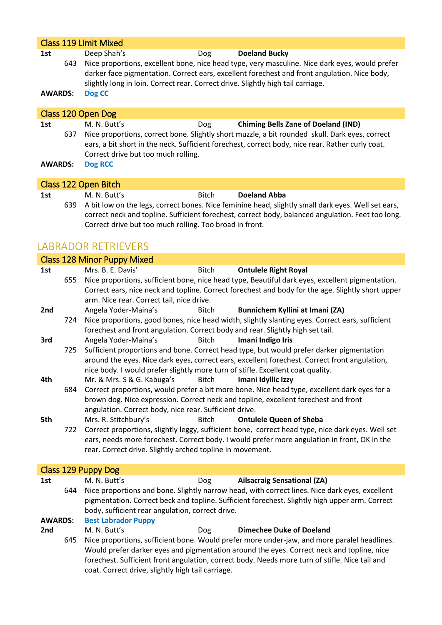|                       | <b>Class 119 Limit Mixed</b> |                                                                                                           |              |                                                                                                                                                                                                                                                  |  |  |  |
|-----------------------|------------------------------|-----------------------------------------------------------------------------------------------------------|--------------|--------------------------------------------------------------------------------------------------------------------------------------------------------------------------------------------------------------------------------------------------|--|--|--|
| 1st<br><b>AWARDS:</b> | 643                          | Deep Shah's<br>slightly long in loin. Correct rear. Correct drive. Slightly high tail carriage.<br>Dog CC | Dog          | <b>Doeland Bucky</b><br>Nice proportions, excellent bone, nice head type, very masculine. Nice dark eyes, would prefer<br>darker face pigmentation. Correct ears, excellent forechest and front angulation. Nice body,                           |  |  |  |
|                       |                              | Class 120 Open Dog                                                                                        |              |                                                                                                                                                                                                                                                  |  |  |  |
| 1st<br><b>AWARDS:</b> | 637                          | M. N. Butt's<br>Correct drive but too much rolling.<br><b>Dog RCC</b>                                     | Dog          | <b>Chiming Bells Zane of Doeland (IND)</b><br>Nice proportions, correct bone. Slightly short muzzle, a bit rounded skull. Dark eyes, correct<br>ears, a bit short in the neck. Sufficient forechest, correct body, nice rear. Rather curly coat. |  |  |  |
|                       |                              | Class 122 Open Bitch                                                                                      |              |                                                                                                                                                                                                                                                  |  |  |  |
| 1st                   |                              | M. N. Butt's                                                                                              | <b>Bitch</b> | <b>Doeland Abba</b><br>ومزوم للمرازان ومربو بإسوام المعمري باللوام المممول موزانيوم فساري ومورموا للموسوم بمعمل مولد وسيرا للزمل فيرا كالمرا                                                                                                     |  |  |  |

639 A bit low on the legs, correct bones. Nice feminine head, slightly small dark eyes. Well set ears, correct neck and topline. Sufficient forechest, correct body, balanced angulation. Feet too long. Correct drive but too much rolling. Too broad in front.

### LABRADOR RETRIEVERS

|                 |                                                                                                | <b>Class 128 Minor Puppy Mixed</b>                                              |              |                                                                                                   |  |
|-----------------|------------------------------------------------------------------------------------------------|---------------------------------------------------------------------------------|--------------|---------------------------------------------------------------------------------------------------|--|
| 1st             |                                                                                                | Mrs. B. E. Davis'                                                               | <b>Bitch</b> | <b>Ontulele Right Royal</b>                                                                       |  |
|                 | 655                                                                                            |                                                                                 |              | Nice proportions, sufficient bone, nice head type, Beautiful dark eyes, excellent pigmentation.   |  |
|                 |                                                                                                |                                                                                 |              | Correct ears, nice neck and topline. Correct forechest and body for the age. Slightly short upper |  |
|                 |                                                                                                | arm. Nice rear. Correct tail, nice drive.                                       |              |                                                                                                   |  |
| 2nd             |                                                                                                | Angela Yoder-Maina's                                                            | Bitch        | Bunnichem Kyllini at Imani (ZA)                                                                   |  |
|                 | 724                                                                                            |                                                                                 |              | Nice proportions, good bones, nice head width, slightly slanting eyes. Correct ears, sufficient   |  |
|                 |                                                                                                | forechest and front angulation. Correct body and rear. Slightly high set tail.  |              |                                                                                                   |  |
| 3rd             |                                                                                                | Angela Yoder-Maina's                                                            | <b>Bitch</b> | Imani Indigo Iris                                                                                 |  |
|                 | 725                                                                                            |                                                                                 |              | Sufficient proportions and bone. Correct head type, but would prefer darker pigmentation          |  |
|                 |                                                                                                |                                                                                 |              | around the eyes. Nice dark eyes, correct ears, excellent forechest. Correct front angulation,     |  |
|                 |                                                                                                | nice body. I would prefer slightly more turn of stifle. Excellent coat quality. |              |                                                                                                   |  |
| 4th             |                                                                                                | Mr. & Mrs. S & G. Kabuga's                                                      | Bitch        | Imani Idyllic Izzy                                                                                |  |
|                 | 684                                                                                            |                                                                                 |              | Correct proportions, would prefer a bit more bone. Nice head type, excellent dark eyes for a      |  |
|                 |                                                                                                |                                                                                 |              | brown dog. Nice expression. Correct neck and topline, excellent forechest and front               |  |
|                 |                                                                                                | angulation. Correct body, nice rear. Sufficient drive.                          |              |                                                                                                   |  |
| 5th             |                                                                                                | Mrs. R. Stitchbury's                                                            | <b>Bitch</b> | <b>Ontulele Queen of Sheba</b>                                                                    |  |
|                 | 722                                                                                            |                                                                                 |              | Correct proportions, slightly leggy, sufficient bone, correct head type, nice dark eyes. Well set |  |
|                 |                                                                                                |                                                                                 |              | ears, needs more forechest. Correct body. I would prefer more angulation in front, OK in the      |  |
|                 |                                                                                                | rear. Correct drive. Slightly arched topline in movement.                       |              |                                                                                                   |  |
|                 |                                                                                                |                                                                                 |              |                                                                                                   |  |
|                 |                                                                                                | Class 129 Puppy Dog                                                             |              |                                                                                                   |  |
| 1st             |                                                                                                | M. N. Butt's                                                                    | <b>Dog</b>   | <b>Ailsacraig Sensational (ZA)</b>                                                                |  |
|                 | 644                                                                                            |                                                                                 |              | Nice proportions and bone. Slightly narrow head, with correct lines. Nice dark eyes, excellent    |  |
|                 | pigmentation. Correct beck and topline. Sufficient forechest. Slightly high upper arm. Correct |                                                                                 |              |                                                                                                   |  |
|                 | body, sufficient rear angulation, correct drive.                                               |                                                                                 |              |                                                                                                   |  |
| <b>AWARDS:</b>  |                                                                                                | <b>Best Labrador Puppy</b>                                                      |              |                                                                                                   |  |
| 2 <sub>nd</sub> |                                                                                                | M. N. Butt's                                                                    | Dog          | <b>Dimechee Duke of Doeland</b>                                                                   |  |

645 Nice proportions, sufficient bone. Would prefer more under-jaw, and more paralel headlines. Would prefer darker eyes and pigmentation around the eyes. Correct neck and topline, nice forechest. Sufficient front angulation, correct body. Needs more turn of stifle. Nice tail and coat. Correct drive, slightly high tail carriage.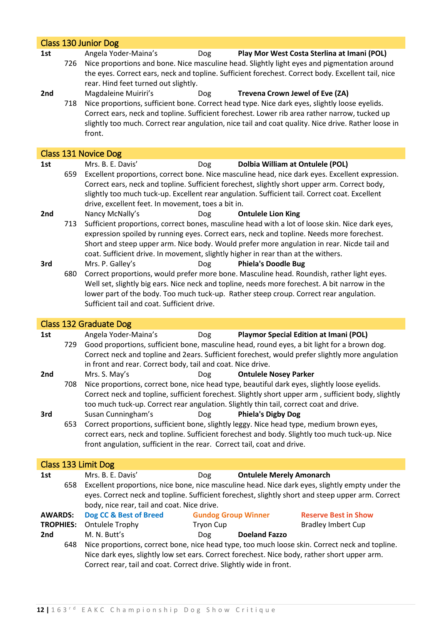|                  |     | <b>Class 130 Junior Dog</b>                                                                                                                                                                                                                                                                                                                                                                             |
|------------------|-----|---------------------------------------------------------------------------------------------------------------------------------------------------------------------------------------------------------------------------------------------------------------------------------------------------------------------------------------------------------------------------------------------------------|
| 1st<br>2nd       | 726 | Angela Yoder-Maina's<br><b>Dog</b><br>Play Mor West Costa Sterlina at Imani (POL)<br>Nice proportions and bone. Nice masculine head. Slightly light eyes and pigmentation around<br>the eyes. Correct ears, neck and topline. Sufficient forechest. Correct body. Excellent tail, nice<br>rear. Hind feet turned out slightly.<br>Magdaleine Muiriri's<br>Trevena Crown Jewel of Eve (ZA)<br><b>Dog</b> |
|                  | 718 | Nice proportions, sufficient bone. Correct head type. Nice dark eyes, slightly loose eyelids.<br>Correct ears, neck and topline. Sufficient forechest. Lower rib area rather narrow, tucked up<br>slightly too much. Correct rear angulation, nice tail and coat quality. Nice drive. Rather loose in<br>front.                                                                                         |
|                  |     | Class 131 Novice Dog                                                                                                                                                                                                                                                                                                                                                                                    |
| 1st              |     | Mrs. B. E. Davis'<br>Dolbia William at Ontulele (POL)<br>Dog                                                                                                                                                                                                                                                                                                                                            |
|                  | 659 | Excellent proportions, correct bone. Nice masculine head, nice dark eyes. Excellent expression.<br>Correct ears, neck and topline. Sufficient forechest, slightly short upper arm. Correct body,<br>slightly too much tuck-up. Excellent rear angulation. Sufficient tail. Correct coat. Excellent<br>drive, excellent feet. In movement, toes a bit in.                                                |
| 2nd              |     | Nancy McNally's<br><b>Ontulele Lion King</b><br>Dog                                                                                                                                                                                                                                                                                                                                                     |
|                  | 713 | Sufficient proportions, correct bones, masculine head with a lot of loose skin. Nice dark eyes,<br>expression spoiled by running eyes. Correct ears, neck and topline. Needs more forechest.<br>Short and steep upper arm. Nice body. Would prefer more angulation in rear. Nicde tail and<br>coat. Sufficient drive. In movement, slightly higher in rear than at the withers.                         |
| 3rd              |     | Mrs. P. Galley's<br><b>Phiela's Doodle Bug</b><br>Dog                                                                                                                                                                                                                                                                                                                                                   |
|                  | 680 | Correct proportions, would prefer more bone. Masculine head. Roundish, rather light eyes.<br>Well set, slightly big ears. Nice neck and topline, needs more forechest. A bit narrow in the<br>lower part of the body. Too much tuck-up. Rather steep croup. Correct rear angulation.<br>Sufficient tail and coat. Sufficient drive.                                                                     |
|                  |     |                                                                                                                                                                                                                                                                                                                                                                                                         |
|                  |     | <b>Class 132 Graduate Dog</b>                                                                                                                                                                                                                                                                                                                                                                           |
| 1st              | 729 | Angela Yoder-Maina's<br><b>Playmor Special Edition at Imani (POL)</b><br><b>Dog</b><br>Good proportions, sufficient bone, masculine head, round eyes, a bit light for a brown dog.<br>Correct neck and topline and 2ears. Sufficient forechest, would prefer slightly more angulation<br>in front and rear. Correct body, tail and coat. Nice drive.                                                    |
| 2nd              |     | Mrs. S. May's<br>Dog<br><b>Ontulele Nosey Parker</b>                                                                                                                                                                                                                                                                                                                                                    |
|                  | 708 | Nice proportions, correct bone, nice head type, beautiful dark eyes, slightly loose eyelids.<br>Correct neck and topline, sufficient forechest. Slightly short upper arm, sufficient body, slightly<br>too much tuck-up. Correct rear angulation. Slightly thin tail, correct coat and drive.                                                                                                           |
| 3rd              | 653 | Susan Cunningham's<br><b>Phiela's Digby Dog</b><br>Dog<br>Correct proportions, sufficient bone, slightly leggy. Nice head type, medium brown eyes,                                                                                                                                                                                                                                                      |
|                  |     | correct ears, neck and topline. Sufficient forechest and body. Slightly too much tuck-up. Nice<br>front angulation, sufficient in the rear. Correct tail, coat and drive.                                                                                                                                                                                                                               |
|                  |     | Class 133 Limit Dog                                                                                                                                                                                                                                                                                                                                                                                     |
| 1st              |     | Mrs. B. E. Davis'<br><b>Ontulele Merely Amonarch</b><br>Dog                                                                                                                                                                                                                                                                                                                                             |
|                  | 658 | Excellent proportions, nice bone, nice masculine head. Nice dark eyes, slightly empty under the<br>eyes. Correct neck and topline. Sufficient forechest, slightly short and steep upper arm. Correct<br>body, nice rear, tail and coat. Nice drive.                                                                                                                                                     |
| <b>AWARDS:</b>   |     | Dog CC & Best of Breed<br><b>Gundog Group Winner</b><br><b>Reserve Best in Show</b>                                                                                                                                                                                                                                                                                                                     |
| <b>TROPHIES:</b> |     | <b>Ontulele Trophy</b><br><b>Tryon Cup</b><br><b>Bradley Imbert Cup</b>                                                                                                                                                                                                                                                                                                                                 |
| 2nd              | 648 | M. N. Butt's<br><b>Doeland Fazzo</b><br>Dog<br>Nice proportions, correct bone, nice head type, too much loose skin. Correct neck and topline.<br>Nice dark eyes, slightly low set ears. Correct forechest. Nice body, rather short upper arm.<br>Correct rear, tail and coat. Correct drive. Slightly wide in front.                                                                                    |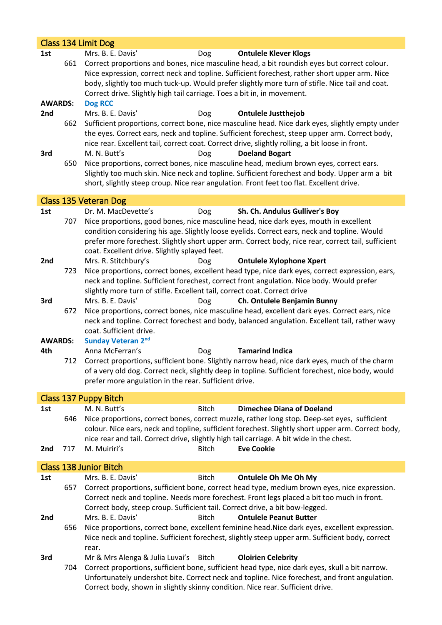|                |     | Class 134 Limit Dog                                                                                                                                                                                                                                                                                                                                         |
|----------------|-----|-------------------------------------------------------------------------------------------------------------------------------------------------------------------------------------------------------------------------------------------------------------------------------------------------------------------------------------------------------------|
| 1st            |     | Mrs. B. E. Davis'<br><b>Ontulele Klever Klogs</b><br>Dog                                                                                                                                                                                                                                                                                                    |
|                | 661 | Correct proportions and bones, nice masculine head, a bit roundish eyes but correct colour.<br>Nice expression, correct neck and topline. Sufficient forechest, rather short upper arm. Nice<br>body, slightly too much tuck-up. Would prefer slightly more turn of stifle. Nice tail and coat.                                                             |
|                |     | Correct drive. Slightly high tail carriage. Toes a bit in, in movement.                                                                                                                                                                                                                                                                                     |
| <b>AWARDS:</b> |     | <b>Dog RCC</b>                                                                                                                                                                                                                                                                                                                                              |
| 2nd            |     | Mrs. B. E. Davis'<br><b>Ontulele Justthejob</b><br>Dog                                                                                                                                                                                                                                                                                                      |
| 3rd            | 662 | Sufficient proportions, correct bone, nice masculine head. Nice dark eyes, slightly empty under<br>the eyes. Correct ears, neck and topline. Sufficient forechest, steep upper arm. Correct body,<br>nice rear. Excellent tail, correct coat. Correct drive, slightly rolling, a bit loose in front.<br>M. N. Butt's<br><b>Doeland Bogart</b><br><b>Dog</b> |
|                | 650 | Nice proportions, correct bones, nice masculine head, medium brown eyes, correct ears.<br>Slightly too much skin. Nice neck and topline. Sufficient forechest and body. Upper arm a bit<br>short, slightly steep croup. Nice rear angulation. Front feet too flat. Excellent drive.                                                                         |
|                |     | Class 135 Veteran Dog                                                                                                                                                                                                                                                                                                                                       |
| 1st            |     | Dr. M. MacDevette's<br>Sh. Ch. Andulus Gulliver's Boy<br>Dog                                                                                                                                                                                                                                                                                                |
|                | 707 | Nice proportions, good bones, nice masculine head, nice dark eyes, mouth in excellent<br>condition considering his age. Slightly loose eyelids. Correct ears, neck and topline. Would<br>prefer more forechest. Slightly short upper arm. Correct body, nice rear, correct tail, sufficient<br>coat. Excellent drive. Slightly splayed feet.                |
| 2nd            |     | Mrs. R. Stitchbury's<br><b>Ontulele Xylophone Xpert</b><br>Dog                                                                                                                                                                                                                                                                                              |
|                | 723 | Nice proportions, correct bones, excellent head type, nice dark eyes, correct expression, ears,<br>neck and topline. Sufficient forechest, correct front angulation. Nice body. Would prefer<br>slightly more turn of stifle. Excellent tail, correct coat. Correct drive                                                                                   |
| 3rd            |     | Mrs. B. E. Davis'<br>Ch. Ontulele Benjamin Bunny<br>Dog                                                                                                                                                                                                                                                                                                     |
|                | 672 | Nice proportions, correct bones, nice masculine head, excellent dark eyes. Correct ears, nice                                                                                                                                                                                                                                                               |
|                |     | neck and topline. Correct forechest and body, balanced angulation. Excellent tail, rather wavy<br>coat. Sufficient drive.                                                                                                                                                                                                                                   |
| <b>AWARDS:</b> |     | <b>Sunday Veteran 2nd</b>                                                                                                                                                                                                                                                                                                                                   |
| 4th            |     | Anna McFerran's<br><b>Tamarind Indica</b><br>Dog                                                                                                                                                                                                                                                                                                            |
|                | 712 | Correct proportions, sufficient bone. Slightly narrow head, nice dark eyes, much of the charm                                                                                                                                                                                                                                                               |
|                |     | of a very old dog. Correct neck, slightly deep in topline. Sufficient forechest, nice body, would                                                                                                                                                                                                                                                           |
|                |     | prefer more angulation in the rear. Sufficient drive.                                                                                                                                                                                                                                                                                                       |
|                |     | Class 137 Puppy Bitch                                                                                                                                                                                                                                                                                                                                       |
| 1st            |     | M. N. Butt's<br><b>Bitch</b><br><b>Dimechee Diana of Doeland</b>                                                                                                                                                                                                                                                                                            |
|                | 646 | Nice proportions, correct bones, correct muzzle, rather long stop. Deep-set eyes, sufficient                                                                                                                                                                                                                                                                |
|                |     | colour. Nice ears, neck and topline, sufficient forechest. Slightly short upper arm. Correct body,                                                                                                                                                                                                                                                          |
|                |     | nice rear and tail. Correct drive, slightly high tail carriage. A bit wide in the chest.                                                                                                                                                                                                                                                                    |
| 2nd            | 717 | M. Muiriri's<br><b>Bitch</b><br><b>Eve Cookie</b>                                                                                                                                                                                                                                                                                                           |
|                |     | <b>Class 138 Junior Bitch</b>                                                                                                                                                                                                                                                                                                                               |
| 1st            |     | Mrs. B. E. Davis'<br><b>Bitch</b><br>Ontulele Oh Me Oh My                                                                                                                                                                                                                                                                                                   |
|                | 657 | Correct proportions, sufficient bone, correct head type, medium brown eyes, nice expression.                                                                                                                                                                                                                                                                |
|                |     | Correct neck and topline. Needs more forechest. Front legs placed a bit too much in front.                                                                                                                                                                                                                                                                  |
|                |     | Correct body, steep croup. Sufficient tail. Correct drive, a bit bow-legged.                                                                                                                                                                                                                                                                                |
| 2nd            |     | Mrs. B. E. Davis'<br><b>Ontulele Peanut Butter</b><br><b>Bitch</b>                                                                                                                                                                                                                                                                                          |
|                | 656 | Nice proportions, correct bone, excellent feminine head. Nice dark eyes, excellent expression.<br>Nice neck and topline. Sufficient forechest, slightly steep upper arm. Sufficient body, correct                                                                                                                                                           |
|                |     | rear.                                                                                                                                                                                                                                                                                                                                                       |
| 3rd            |     | Mr & Mrs Alenga & Julia Luvai's<br>Bitch<br><b>Oloirien Celebrity</b>                                                                                                                                                                                                                                                                                       |
|                | 704 | Correct proportions, sufficient bone, sufficient head type, nice dark eyes, skull a bit narrow.                                                                                                                                                                                                                                                             |
|                |     | Unfortunately undershot bite. Correct neck and topline. Nice forechest, and front angulation.<br>Correct body, shown in slightly skinny condition. Nice rear. Sufficient drive.                                                                                                                                                                             |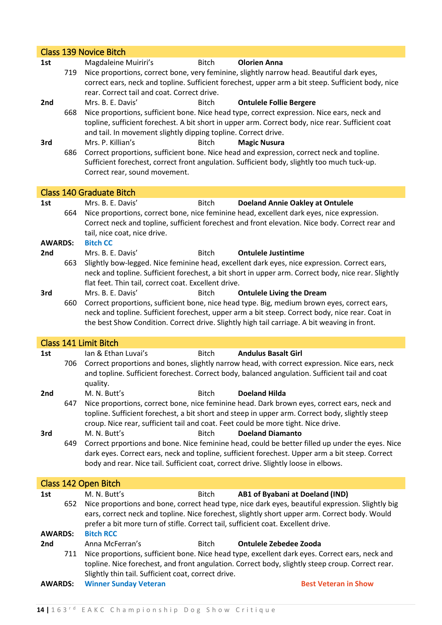|                |     | <b>Class 139 Novice Bitch</b>                                                                                                                                                                                                                                                                                                                                           |
|----------------|-----|-------------------------------------------------------------------------------------------------------------------------------------------------------------------------------------------------------------------------------------------------------------------------------------------------------------------------------------------------------------------------|
| 1st            |     | Magdaleine Muiriri's<br><b>Bitch</b><br><b>Olorien Anna</b>                                                                                                                                                                                                                                                                                                             |
|                | 719 | Nice proportions, correct bone, very feminine, slightly narrow head. Beautiful dark eyes,<br>correct ears, neck and topline. Sufficient forechest, upper arm a bit steep. Sufficient body, nice<br>rear. Correct tail and coat. Correct drive.                                                                                                                          |
| 2nd            |     | Mrs. B. E. Davis'<br><b>Bitch</b><br><b>Ontulele Follie Bergere</b>                                                                                                                                                                                                                                                                                                     |
| 3rd            | 668 | Nice proportions, sufficient bone. Nice head type, correct expression. Nice ears, neck and<br>topline, sufficient forechest. A bit short in upper arm. Correct body, nice rear. Sufficient coat<br>and tail. In movement slightly dipping topline. Correct drive.<br>Mrs. P. Killian's<br><b>Bitch</b><br><b>Magic Nusura</b>                                           |
|                | 686 | Correct proportions, sufficient bone. Nice head and expression, correct neck and topline.<br>Sufficient forechest, correct front angulation. Sufficient body, slightly too much tuck-up.<br>Correct rear, sound movement.                                                                                                                                               |
|                |     | <b>Class 140 Graduate Bitch</b>                                                                                                                                                                                                                                                                                                                                         |
| 1st            |     | Mrs. B. E. Davis'<br><b>Bitch</b><br><b>Doeland Annie Oakley at Ontulele</b>                                                                                                                                                                                                                                                                                            |
|                | 664 | Nice proportions, correct bone, nice feminine head, excellent dark eyes, nice expression.<br>Correct neck and topline, sufficient forechest and front elevation. Nice body. Correct rear and<br>tail, nice coat, nice drive.                                                                                                                                            |
| <b>AWARDS:</b> |     | <b>Bitch CC</b>                                                                                                                                                                                                                                                                                                                                                         |
| 2nd            |     | Mrs. B. E. Davis'<br><b>Bitch</b><br><b>Ontulele Justintime</b>                                                                                                                                                                                                                                                                                                         |
|                | 663 | Slightly bow-legged. Nice feminine head, excellent dark eyes, nice expression. Correct ears,<br>neck and topline. Sufficient forechest, a bit short in upper arm. Correct body, nice rear. Slightly<br>flat feet. Thin tail, correct coat. Excellent drive.                                                                                                             |
| 3rd            | 660 | Mrs. B. E. Davis'<br><b>Bitch</b><br><b>Ontulele Living the Dream</b><br>Correct proportions, sufficient bone, nice head type. Big, medium brown eyes, correct ears,<br>neck and topline. Sufficient forechest, upper arm a bit steep. Correct body, nice rear. Coat in<br>the best Show Condition. Correct drive. Slightly high tail carriage. A bit weaving in front. |
|                |     | <b>Class 141 Limit Bitch</b>                                                                                                                                                                                                                                                                                                                                            |
| 1st            |     | Ian & Ethan Luvai's<br><b>Andulus Basalt Girl</b><br><b>Bitch</b>                                                                                                                                                                                                                                                                                                       |
|                | 706 | Correct proportions and bones, slightly narrow head, with correct expression. Nice ears, neck<br>and topline. Sufficient forechest. Correct body, balanced angulation. Sufficient tail and coat<br>quality.                                                                                                                                                             |
| 2nd            | 647 | M. N. Butt's<br><b>Bitch</b><br><b>Doeland Hilda</b><br>Nice proportions, correct bone, nice feminine head. Dark brown eyes, correct ears, neck and<br>topline. Sufficient forechest, a bit short and steep in upper arm. Correct body, slightly steep<br>croup. Nice rear, sufficient tail and coat. Feet could be more tight. Nice drive.                             |
| 3rd            | 649 | M. N. Butt's<br><b>Bitch</b><br><b>Doeland Diamanto</b><br>Correct prportions and bone. Nice feminine head, could be better filled up under the eyes. Nice<br>dark eyes. Correct ears, neck and topline, sufficient forechest. Upper arm a bit steep. Correct<br>body and rear. Nice tail. Sufficient coat, correct drive. Slightly loose in elbows.                    |
|                |     | Class 142 Open Bitch                                                                                                                                                                                                                                                                                                                                                    |
| 1st            |     | M. N. Butt's<br><b>Bitch</b><br>AB1 of Byabani at Doeland (IND)                                                                                                                                                                                                                                                                                                         |
|                | 652 | Nice proportions and bone, correct head type, nice dark eyes, beautiful expression. Slightly big<br>ears, correct neck and topline. Nice forechest, slightly short upper arm. Correct body. Would<br>prefer a bit more turn of stifle. Correct tail, sufficient coat. Excellent drive.                                                                                  |
| <b>AWARDS:</b> |     | <b>Bitch RCC</b>                                                                                                                                                                                                                                                                                                                                                        |
| 2nd            |     | Anna McFerran's<br><b>Bitch</b><br><b>Ontulele Zebedee Zooda</b>                                                                                                                                                                                                                                                                                                        |
|                | 711 | Nice proportions, sufficient bone. Nice head type, excellent dark eyes. Correct ears, neck and<br>topline. Nice forechest, and front angulation. Correct body, slightly steep croup. Correct rear.<br>Slightly thin tail. Sufficient coat, correct drive.                                                                                                               |
| <b>AWARDS:</b> |     | <b>Winner Sunday Veteran</b><br><b>Best Veteran in Show</b>                                                                                                                                                                                                                                                                                                             |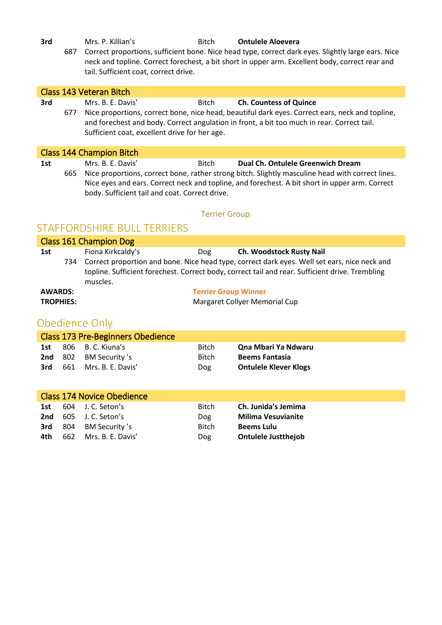**3rd** Mrs. P. Killian's **Bitch Ontulele Aloevera** 

687 Correct proportions, sufficient bone. Nice head type, correct dark eyes. Slightly large ears. Nice neck and topline. Correct forechest, a bit short in upper arm. Excellent body, correct rear and tail. Sufficient coat, correct drive.

|     | Class 143 Veteran Bitch |                                                                     |              |                                                                                                                                                                                                                                         |  |  |
|-----|-------------------------|---------------------------------------------------------------------|--------------|-----------------------------------------------------------------------------------------------------------------------------------------------------------------------------------------------------------------------------------------|--|--|
| 3rd | 677                     | Mrs. B. E. Davis'<br>Sufficient coat, excellent drive for her age.  | <b>Bitch</b> | <b>Ch. Countess of Quince</b><br>Nice proportions, correct bone, nice head, beautiful dark eyes. Correct ears, neck and topline,<br>and forechest and body. Correct angulation in front, a bit too much in rear. Correct tail.          |  |  |
|     |                         | Class 144 Champion Bitch                                            |              |                                                                                                                                                                                                                                         |  |  |
| 1st | 665                     | Mrs. B. E. Davis'<br>body. Sufficient tail and coat. Correct drive. | <b>Bitch</b> | Dual Ch. Ontulele Greenwich Dream<br>Nice proportions, correct bone, rather strong bitch. Slightly masculine head with correct lines.<br>Nice eyes and ears. Correct neck and topline, and forechest. A bit short in upper arm. Correct |  |  |

#### Terrier Group

### STAFFORDSHIRE BULL TERRIERS

| Class 161 Champion Dog |                   |                             |                                                                                                                                                                                                     |  |  |  |
|------------------------|-------------------|-----------------------------|-----------------------------------------------------------------------------------------------------------------------------------------------------------------------------------------------------|--|--|--|
| 1st                    | Fiona Kirkcaldy's | Dog                         | Ch. Woodstock Rusty Nail                                                                                                                                                                            |  |  |  |
|                        | muscles.          |                             | 734 Correct proportion and bone. Nice head type, correct dark eyes. Well set ears, nice neck and<br>topline. Sufficient forechest. Correct body, correct tail and rear. Sufficient drive. Trembling |  |  |  |
| <b>AWARDS:</b>         |                   | <b>Terrier Group Winner</b> |                                                                                                                                                                                                     |  |  |  |
| <b>TROPHIES:</b>       |                   |                             | Margaret Collyer Memorial Cup                                                                                                                                                                       |  |  |  |

# Obedience Only

| Class 173 Pre-Beginners Obedience |  |                              |              |                              |  |  |  |
|-----------------------------------|--|------------------------------|--------------|------------------------------|--|--|--|
| 1st                               |  | 806 B.C. Kiuna's             | <b>Bitch</b> | Qna Mbari Ya Ndwaru          |  |  |  |
|                                   |  | <b>2nd</b> 802 BM Security's | Bitch        | <b>Beems Fantasia</b>        |  |  |  |
| 3rd                               |  | 661 Mrs. B. E. Davis'        | <b>Dog</b>   | <b>Ontulele Klever Klogs</b> |  |  |  |

| <b>Class 174 Novice Obedience</b> |  |                               |              |                            |  |  |  |
|-----------------------------------|--|-------------------------------|--------------|----------------------------|--|--|--|
| 1st                               |  | 604 J. C. Seton's             | <b>Bitch</b> | Ch. Junida's Jemima        |  |  |  |
|                                   |  | <b>2nd</b> $605$ J.C. Seton's | Dog          | <b>Milima Vesuvianite</b>  |  |  |  |
|                                   |  | <b>3rd</b> 804 BM Security's  | <b>Bitch</b> | <b>Beems Lulu</b>          |  |  |  |
| 4th                               |  | 662 Mrs. B. E. Davis'         | <b>Dog</b>   | <b>Ontulele Justthejob</b> |  |  |  |